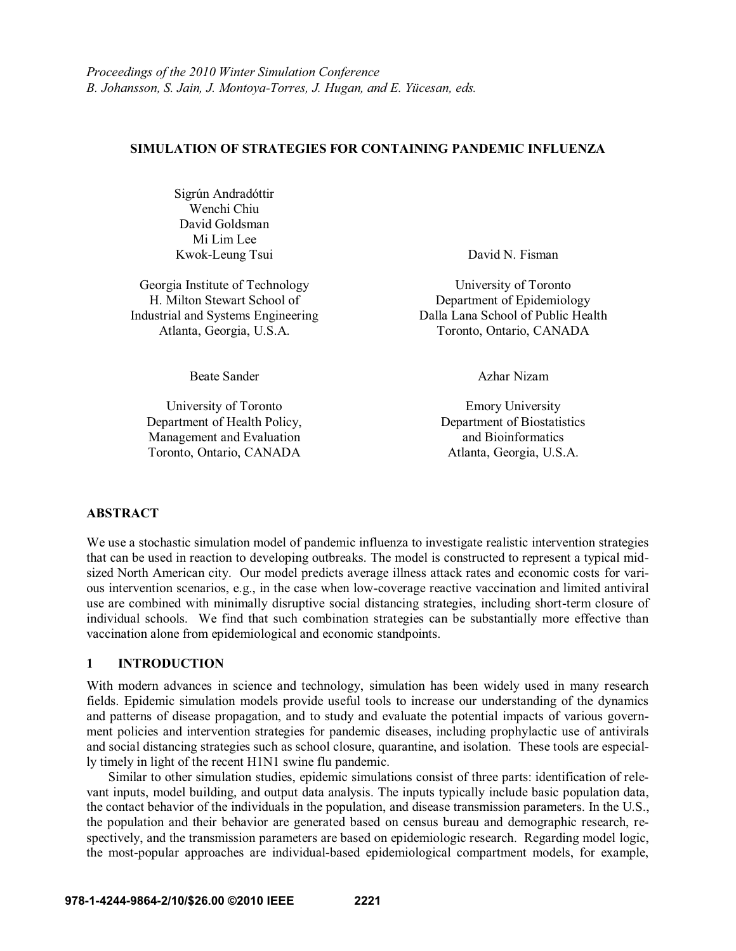### **SIMULATION OF STRATEGIES FOR CONTAINING PANDEMIC INFLUENZA**

Sigrún Andradóttir Wenchi Chiu David Goldsman Mi Lim Lee Kwok-Leung Tsui David N. Fisman

Georgia Institute of Technology H. Milton Stewart School of

University of Toronto Department of Health Policy, Management and Evaluation and Bioinformatics Toronto, Ontario, CANADA Atlanta, Georgia, U.S.A.

University of Toronto Department of Epidemiology Industrial and Systems Engineering Dalla Lana School of Public Health Atlanta, Georgia, U.S.A. Toronto, Ontario, CANADA

Beate Sander Azhar Nizam

Emory University Department of Biostatistics

### **ABSTRACT**

We use a stochastic simulation model of pandemic influenza to investigate realistic intervention strategies that can be used in reaction to developing outbreaks. The model is constructed to represent a typical midsized North American city. Our model predicts average illness attack rates and economic costs for various intervention scenarios, e.g., in the case when low-coverage reactive vaccination and limited antiviral use are combined with minimally disruptive social distancing strategies, including short-term closure of individual schools. We find that such combination strategies can be substantially more effective than vaccination alone from epidemiological and economic standpoints.

## **1 INTRODUCTION**

With modern advances in science and technology, simulation has been widely used in many research fields. Epidemic simulation models provide useful tools to increase our understanding of the dynamics and patterns of disease propagation, and to study and evaluate the potential impacts of various government policies and intervention strategies for pandemic diseases, including prophylactic use of antivirals and social distancing strategies such as school closure, quarantine, and isolation. These tools are especially timely in light of the recent H1N1 swine flu pandemic.

Similar to other simulation studies, epidemic simulations consist of three parts: identification of relevant inputs, model building, and output data analysis. The inputs typically include basic population data, the contact behavior of the individuals in the population, and disease transmission parameters. In the U.S., the population and their behavior are generated based on census bureau and demographic research, respectively, and the transmission parameters are based on epidemiologic research. Regarding model logic, the most-popular approaches are individual-based epidemiological compartment models, for example,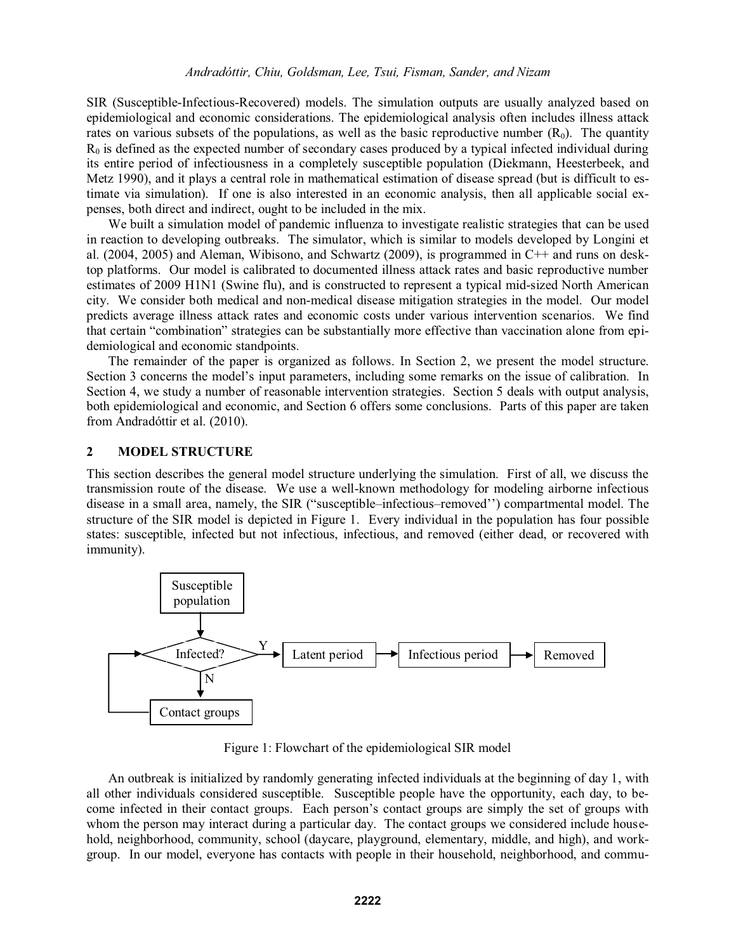SIR (Susceptible-Infectious-Recovered) models. The simulation outputs are usually analyzed based on epidemiological and economic considerations. The epidemiological analysis often includes illness attack rates on various subsets of the populations, as well as the basic reproductive number  $(R_0)$ . The quantity  $R_0$  is defined as the expected number of secondary cases produced by a typical infected individual during its entire period of infectiousness in a completely susceptible population (Diekmann, Heesterbeek, and Metz 1990), and it plays a central role in mathematical estimation of disease spread (but is difficult to estimate via simulation). If one is also interested in an economic analysis, then all applicable social expenses, both direct and indirect, ought to be included in the mix.

We built a simulation model of pandemic influenza to investigate realistic strategies that can be used in reaction to developing outbreaks. The simulator, which is similar to models developed by Longini et al. (2004, 2005) and Aleman, Wibisono, and Schwartz (2009), is programmed in C++ and runs on desktop platforms. Our model is calibrated to documented illness attack rates and basic reproductive number estimates of 2009 H1N1 (Swine flu), and is constructed to represent a typical mid-sized North American city. We consider both medical and non-medical disease mitigation strategies in the model. Our model predicts average illness attack rates and economic costs under various intervention scenarios. We find that certain "combination" strategies can be substantially more effective than vaccination alone from epidemiological and economic standpoints.

The remainder of the paper is organized as follows. In Section 2, we present the model structure. Section 3 concerns the model's input parameters, including some remarks on the issue of calibration. In Section 4, we study a number of reasonable intervention strategies. Section 5 deals with output analysis, both epidemiological and economic, and Section 6 offers some conclusions. Parts of this paper are taken from Andradóttir et al. (2010).

### **2 MODEL STRUCTURE**

This section describes the general model structure underlying the simulation. First of all, we discuss the transmission route of the disease. We use a well-known methodology for modeling airborne infectious disease in a small area, namely, the SIR ("susceptible–infectious–removed") compartmental model. The structure of the SIR model is depicted in Figure 1. Every individual in the population has four possible states: susceptible, infected but not infectious, infectious, and removed (either dead, or recovered with immunity).



Figure 1: Flowchart of the epidemiological SIR model

An outbreak is initialized by randomly generating infected individuals at the beginning of day 1, with all other individuals considered susceptible. Susceptible people have the opportunity, each day, to become infected in their contact groups. Each person's contact groups are simply the set of groups with whom the person may interact during a particular day. The contact groups we considered include household, neighborhood, community, school (daycare, playground, elementary, middle, and high), and workgroup. In our model, everyone has contacts with people in their household, neighborhood, and commu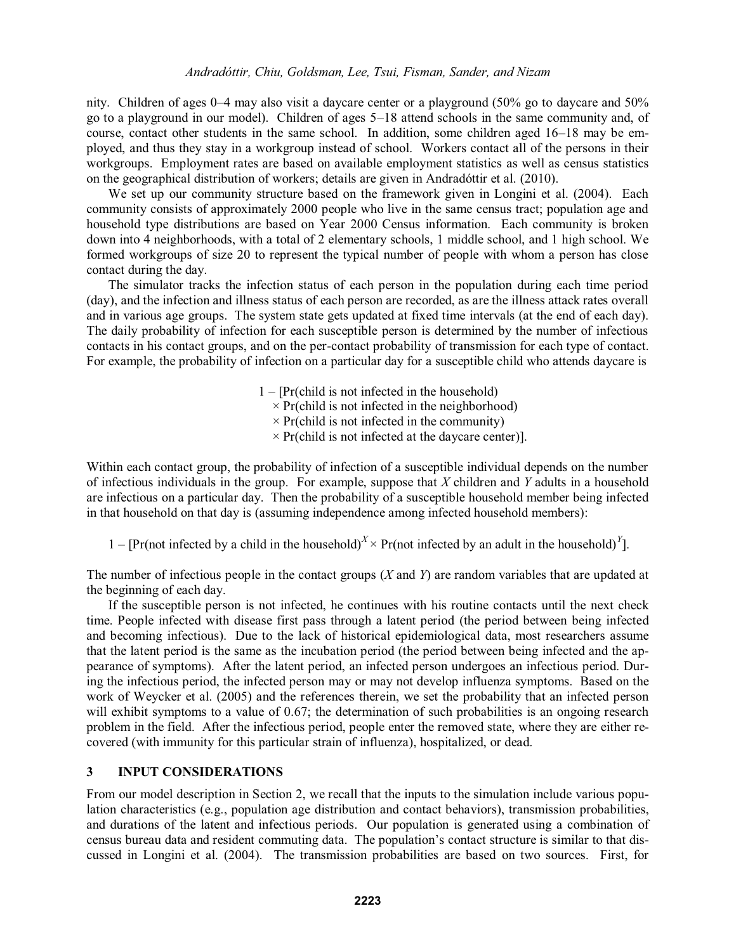nity. Children of ages  $0-4$  may also visit a daycare center or a playground (50% go to daycare and 50%) go to a playground in our model). Children of ages 5-18 attend schools in the same community and, of course, contact other students in the same school. In addition, some children aged  $16-18$  may be employed, and thus they stay in a workgroup instead of school. Workers contact all of the persons in their workgroups. Employment rates are based on available employment statistics as well as census statistics on the geographical distribution of workers; details are given in Andradóttir et al. (2010).

We set up our community structure based on the framework given in Longini et al. (2004). Each community consists of approximately 2000 people who live in the same census tract; population age and household type distributions are based on Year 2000 Census information. Each community is broken down into 4 neighborhoods, with a total of 2 elementary schools, 1 middle school, and 1 high school. We formed workgroups of size 20 to represent the typical number of people with whom a person has close contact during the day.

 The simulator tracks the infection status of each person in the population during each time period (day), and the infection and illness status of each person are recorded, as are the illness attack rates overall and in various age groups. The system state gets updated at fixed time intervals (at the end of each day). The daily probability of infection for each susceptible person is determined by the number of infectious contacts in his contact groups, and on the per-contact probability of transmission for each type of contact. For example, the probability of infection on a particular day for a susceptible child who attends daycare is

> $1 - [Pr(\text{child is not infected in the household})]$  $\times$  Pr(child is not infected in the neighborhood)  $\times$  Pr(child is not infected in the community)  $\times$  Pr(child is not infected at the daycare center)].

Within each contact group, the probability of infection of a susceptible individual depends on the number of infectious individuals in the group. For example, suppose that *X* children and *Y* adults in a household are infectious on a particular day. Then the probability of a susceptible household member being infected in that household on that day is (assuming independence among infected household members):

1 – [Pr(not infected by a child in the household)<sup>*X*</sup> × Pr(not infected by an adult in the household)<sup>*Y*</sup>].

The number of infectious people in the contact groups (*X* and *Y*) are random variables that are updated at the beginning of each day.

 If the susceptible person is not infected, he continues with his routine contacts until the next check time. People infected with disease first pass through a latent period (the period between being infected and becoming infectious). Due to the lack of historical epidemiological data, most researchers assume that the latent period is the same as the incubation period (the period between being infected and the appearance of symptoms). After the latent period, an infected person undergoes an infectious period. During the infectious period, the infected person may or may not develop influenza symptoms. Based on the work of Weycker et al. (2005) and the references therein, we set the probability that an infected person will exhibit symptoms to a value of 0.67; the determination of such probabilities is an ongoing research problem in the field. After the infectious period, people enter the removed state, where they are either recovered (with immunity for this particular strain of influenza), hospitalized, or dead.

# **3 INPUT CONSIDERATIONS**

From our model description in Section 2, we recall that the inputs to the simulation include various population characteristics (e.g., population age distribution and contact behaviors), transmission probabilities, and durations of the latent and infectious periods. Our population is generated using a combination of census bureau data and resident commuting data. The population's contact structure is similar to that discussed in Longini et al. (2004). The transmission probabilities are based on two sources. First, for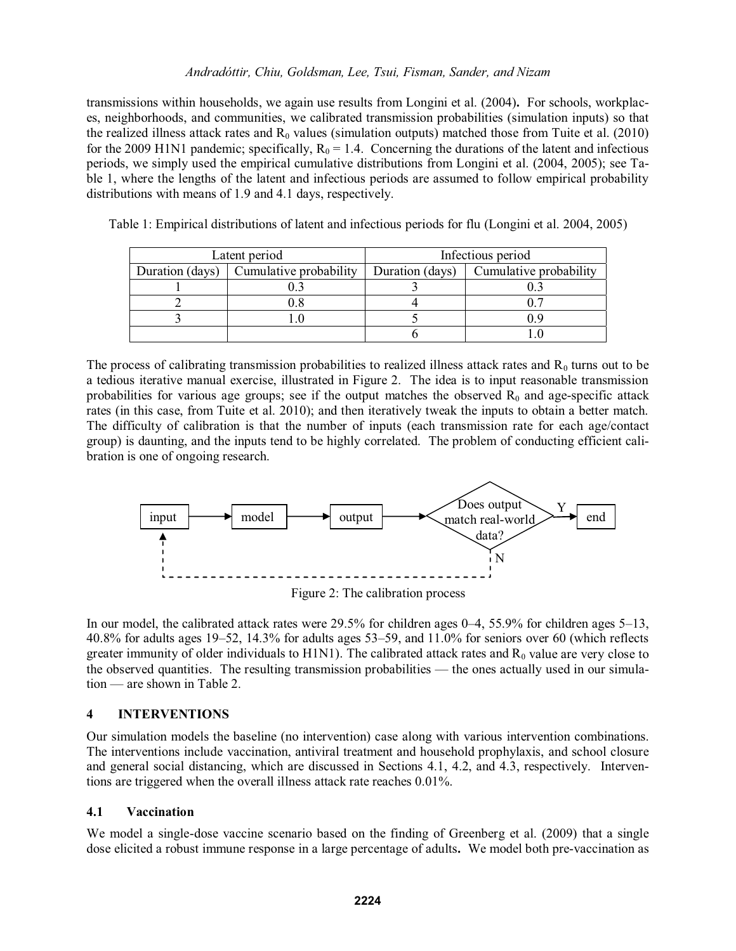## *Andradóttir, Chiu, Goldsman, Lee, Tsui, Fisman, Sander, and Nizam*

transmissions within households, we again use results from Longini et al. (2004)**.** For schools, workplaces, neighborhoods, and communities, we calibrated transmission probabilities (simulation inputs) so that the realized illness attack rates and  $R_0$  values (simulation outputs) matched those from Tuite et al. (2010) for the 2009 H1N1 pandemic; specifically,  $R_0 = 1.4$ . Concerning the durations of the latent and infectious periods, we simply used the empirical cumulative distributions from Longini et al. (2004, 2005); see Table 1, where the lengths of the latent and infectious periods are assumed to follow empirical probability distributions with means of 1.9 and 4.1 days, respectively.

| Latent period   |                        | Infectious period |                        |  |
|-----------------|------------------------|-------------------|------------------------|--|
| Duration (days) | Cumulative probability | Duration (days)   | Cumulative probability |  |
|                 |                        |                   |                        |  |
|                 | 9.8                    |                   |                        |  |
|                 |                        |                   |                        |  |
|                 |                        |                   |                        |  |

Table 1: Empirical distributions of latent and infectious periods for flu (Longini et al. 2004, 2005)

The process of calibrating transmission probabilities to realized illness attack rates and  $R_0$  turns out to be a tedious iterative manual exercise, illustrated in Figure 2. The idea is to input reasonable transmission probabilities for various age groups; see if the output matches the observed  $R_0$  and age-specific attack rates (in this case, from Tuite et al. 2010); and then iteratively tweak the inputs to obtain a better match. The difficulty of calibration is that the number of inputs (each transmission rate for each age/contact group) is daunting, and the inputs tend to be highly correlated. The problem of conducting efficient calibration is one of ongoing research.



In our model, the calibrated attack rates were  $29.5\%$  for children ages  $0-4$ , 55.9% for children ages  $5-13$ , 40.8% for adults ages  $19-52$ , 14.3% for adults ages  $53-59$ , and  $11.0%$  for seniors over 60 (which reflects greater immunity of older individuals to  $H1N1$ ). The calibrated attack rates and  $R_0$  value are very close to the observed quantities. The resulting transmission probabilities — the ones actually used in our simulation — are shown in Table 2.

## **4 INTERVENTIONS**

Our simulation models the baseline (no intervention) case along with various intervention combinations. The interventions include vaccination, antiviral treatment and household prophylaxis, and school closure and general social distancing, which are discussed in Sections 4.1, 4.2, and 4.3, respectively. Interventions are triggered when the overall illness attack rate reaches 0.01%.

### **4.1 Vaccination**

We model a single-dose vaccine scenario based on the finding of Greenberg et al. (2009) that a single dose elicited a robust immune response in a large percentage of adults**.** We model both pre-vaccination as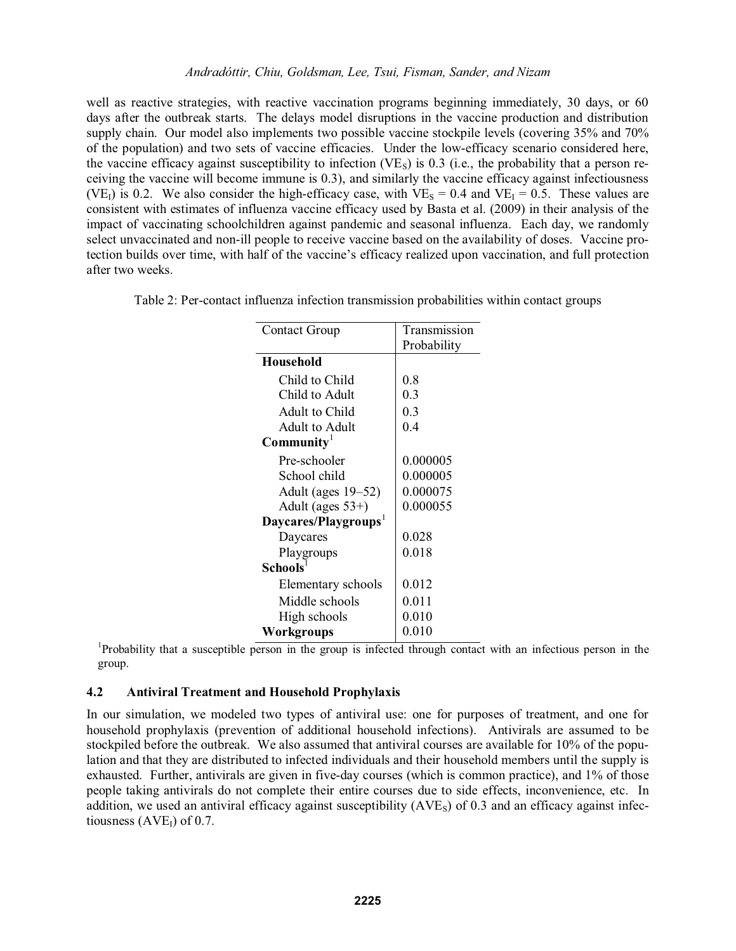well as reactive strategies, with reactive vaccination programs beginning immediately, 30 days, or 60 days after the outbreak starts. The delays model disruptions in the vaccine production and distribution supply chain. Our model also implements two possible vaccine stockpile levels (covering 35% and 70% of the population) and two sets of vaccine efficacies. Under the low-efficacy scenario considered here, the vaccine efficacy against susceptibility to infection (VE<sub>S</sub>) is 0.3 (i.e., the probability that a person receiving the vaccine will become immune is 0.3), and similarly the vaccine efficacy against infectiousness (VE<sub>I</sub>) is 0.2. We also consider the high-efficacy case, with VE<sub>S</sub> = 0.4 and VE<sub>I</sub> = 0.5. These values are consistent with estimates of influenza vaccine efficacy used by Basta et al. (2009) in their analysis of the impact of vaccinating schoolchildren against pandemic and seasonal influenza. Each day, we randomly select unvaccinated and non-ill people to receive vaccine based on the availability of doses. Vaccine protection builds over time, with half of the vaccine's efficacy realized upon vaccination, and full protection after two weeks.

Table 2: Per-contact influenza infection transmission probabilities within contact groups

| <b>Contact Group</b>             | Transmission |  |
|----------------------------------|--------------|--|
|                                  | Probability  |  |
| <b>Household</b>                 |              |  |
| Child to Child                   | 0.8          |  |
| Child to Adult                   | 0.3          |  |
| Adult to Child                   | 0.3          |  |
| Adult to Adult                   | 0.4          |  |
| $\text{Community}^1$             |              |  |
| Pre-schooler                     | 0.000005     |  |
| School child                     | 0.000005     |  |
| Adult (ages $19-52$ )            | 0.000075     |  |
| Adult (ages $53+$ )              | 0.000055     |  |
| Daycares/Playgroups <sup>1</sup> |              |  |
| Daycares                         | 0.028        |  |
| Playgroups                       | 0.018        |  |
| <b>Schools</b>                   |              |  |
| Elementary schools               | 0.012        |  |
| Middle schools                   | 0.011        |  |
| High schools                     | 0.010        |  |
| Workgroups                       | 0.010        |  |

 $\frac{Workgroups}{P}$  1 Probability that a susceptible person in the group is infected through contact with an infectious person in the group.

### **4.2 Antiviral Treatment and Household Prophylaxis**

In our simulation, we modeled two types of antiviral use: one for purposes of treatment, and one for household prophylaxis (prevention of additional household infections). Antivirals are assumed to be stockpiled before the outbreak. We also assumed that antiviral courses are available for 10% of the population and that they are distributed to infected individuals and their household members until the supply is exhausted. Further, antivirals are given in five-day courses (which is common practice), and 1% of those people taking antivirals do not complete their entire courses due to side effects, inconvenience, etc. In addition, we used an antiviral efficacy against susceptibility  $(AVE<sub>s</sub>)$  of 0.3 and an efficacy against infectiousness  $(AVE<sub>I</sub>)$  of 0.7.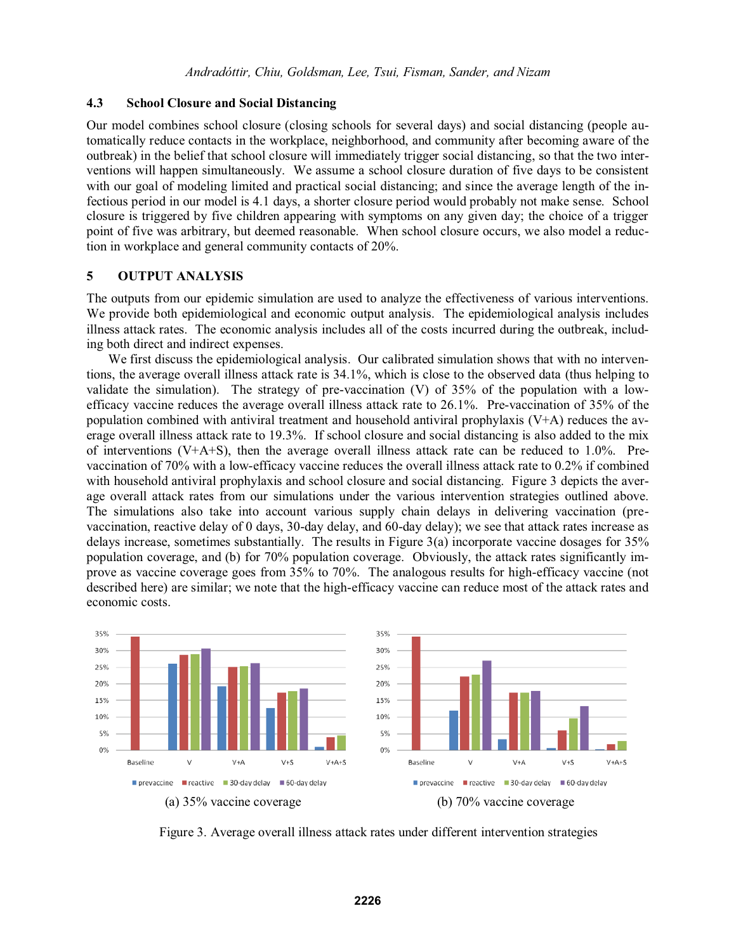#### **4.3 School Closure and Social Distancing**

Our model combines school closure (closing schools for several days) and social distancing (people automatically reduce contacts in the workplace, neighborhood, and community after becoming aware of the outbreak) in the belief that school closure will immediately trigger social distancing, so that the two interventions will happen simultaneously. We assume a school closure duration of five days to be consistent with our goal of modeling limited and practical social distancing; and since the average length of the infectious period in our model is 4.1 days, a shorter closure period would probably not make sense. School closure is triggered by five children appearing with symptoms on any given day; the choice of a trigger point of five was arbitrary, but deemed reasonable. When school closure occurs, we also model a reduction in workplace and general community contacts of 20%.

### **5 OUTPUT ANALYSIS**

The outputs from our epidemic simulation are used to analyze the effectiveness of various interventions. We provide both epidemiological and economic output analysis. The epidemiological analysis includes illness attack rates. The economic analysis includes all of the costs incurred during the outbreak, including both direct and indirect expenses.

 We first discuss the epidemiological analysis. Our calibrated simulation shows that with no interventions, the average overall illness attack rate is 34.1%, which is close to the observed data (thus helping to validate the simulation). The strategy of pre-vaccination  $(V)$  of 35% of the population with a lowefficacy vaccine reduces the average overall illness attack rate to 26.1%. Pre-vaccination of 35% of the population combined with antiviral treatment and household antiviral prophylaxis (V+A) reduces the average overall illness attack rate to 19.3%. If school closure and social distancing is also added to the mix of interventions (V+A+S), then the average overall illness attack rate can be reduced to  $1.0\%$ . Prevaccination of 70% with a low-efficacy vaccine reduces the overall illness attack rate to 0.2% if combined with household antiviral prophylaxis and school closure and social distancing. Figure 3 depicts the average overall attack rates from our simulations under the various intervention strategies outlined above. The simulations also take into account various supply chain delays in delivering vaccination (prevaccination, reactive delay of 0 days, 30-day delay, and 60-day delay); we see that attack rates increase as delays increase, sometimes substantially. The results in Figure 3(a) incorporate vaccine dosages for 35% population coverage, and (b) for 70% population coverage. Obviously, the attack rates significantly improve as vaccine coverage goes from 35% to 70%. The analogous results for high-efficacy vaccine (not described here) are similar; we note that the high-efficacy vaccine can reduce most of the attack rates and economic costs.



Figure 3. Average overall illness attack rates under different intervention strategies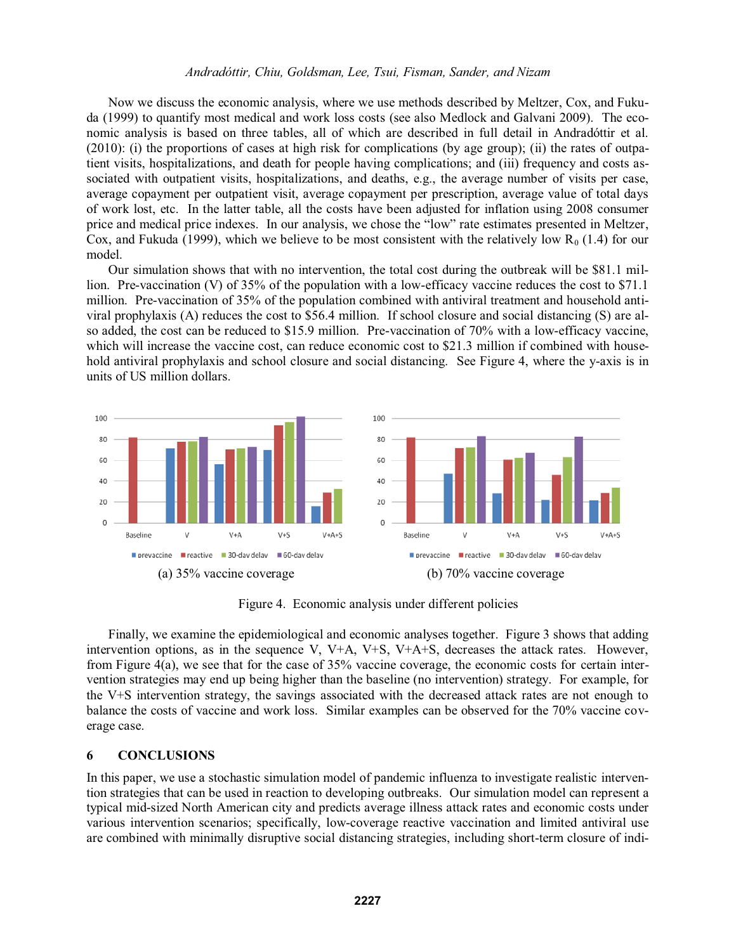#### *Andradóttir, Chiu, Goldsman, Lee, Tsui, Fisman, Sander, and Nizam*

 Now we discuss the economic analysis, where we use methods described by Meltzer, Cox, and Fukuda (1999) to quantify most medical and work loss costs (see also Medlock and Galvani 2009). The economic analysis is based on three tables, all of which are described in full detail in Andradóttir et al. (2010): (i) the proportions of cases at high risk for complications (by age group); (ii) the rates of outpatient visits, hospitalizations, and death for people having complications; and (iii) frequency and costs associated with outpatient visits, hospitalizations, and deaths, e.g., the average number of visits per case, average copayment per outpatient visit, average copayment per prescription, average value of total days of work lost, etc. In the latter table, all the costs have been adjusted for inflation using 2008 consumer price and medical price indexes. In our analysis, we chose the "low" rate estimates presented in Meltzer, Cox, and Fukuda (1999), which we believe to be most consistent with the relatively low  $R_0$  (1.4) for our model.

 Our simulation shows that with no intervention, the total cost during the outbreak will be \$81.1 million. Pre-vaccination (V) of 35% of the population with a low-efficacy vaccine reduces the cost to \$71.1 million. Pre-vaccination of 35% of the population combined with antiviral treatment and household antiviral prophylaxis (A) reduces the cost to \$56.4 million. If school closure and social distancing (S) are also added, the cost can be reduced to \$15.9 million. Pre-vaccination of 70% with a low-efficacy vaccine, which will increase the vaccine cost, can reduce economic cost to \$21.3 million if combined with household antiviral prophylaxis and school closure and social distancing. See Figure 4, where the y-axis is in units of US million dollars.



Figure 4. Economic analysis under different policies

Finally, we examine the epidemiological and economic analyses together. Figure 3 shows that adding intervention options, as in the sequence V, V+A, V+S, V+A+S, decreases the attack rates. However, from Figure 4(a), we see that for the case of 35% vaccine coverage, the economic costs for certain intervention strategies may end up being higher than the baseline (no intervention) strategy. For example, for the V+S intervention strategy, the savings associated with the decreased attack rates are not enough to balance the costs of vaccine and work loss. Similar examples can be observed for the 70% vaccine coverage case.

#### **6 CONCLUSIONS**

In this paper, we use a stochastic simulation model of pandemic influenza to investigate realistic intervention strategies that can be used in reaction to developing outbreaks. Our simulation model can represent a typical mid-sized North American city and predicts average illness attack rates and economic costs under various intervention scenarios; specifically, low-coverage reactive vaccination and limited antiviral use are combined with minimally disruptive social distancing strategies, including short-term closure of indi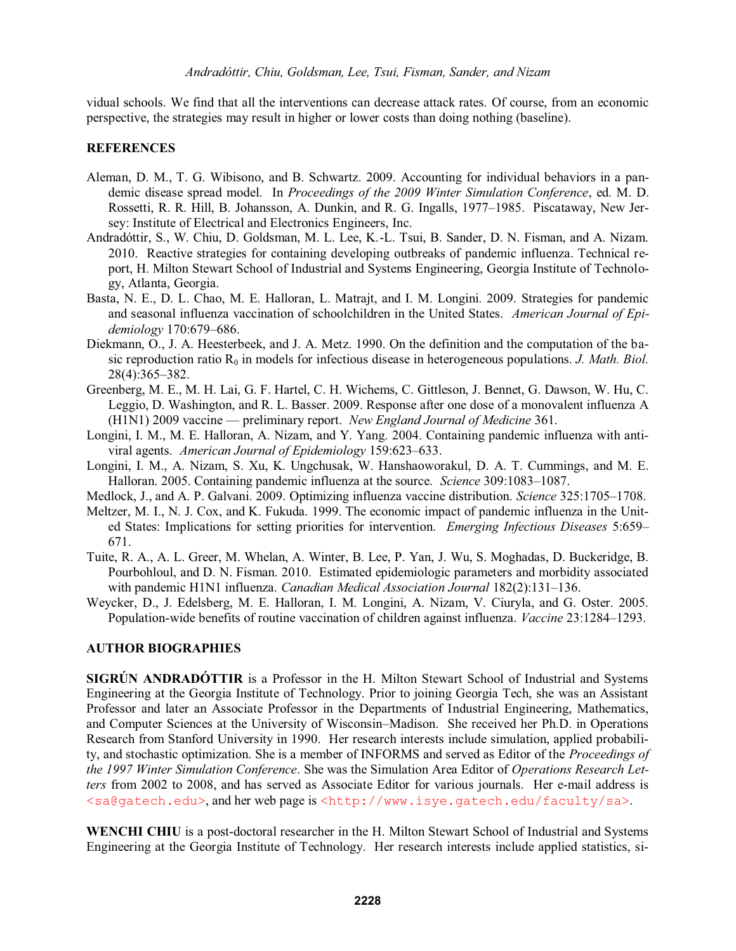vidual schools. We find that all the interventions can decrease attack rates. Of course, from an economic perspective, the strategies may result in higher or lower costs than doing nothing (baseline).

### **REFERENCES**

- Aleman, D. M., T. G. Wibisono, and B. Schwartz. 2009. Accounting for individual behaviors in a pandemic disease spread model. In *Proceedings of the 2009 Winter Simulation Conference*, ed. M. D. Rossetti, R. R. Hill, B. Johansson, A. Dunkin, and R. G. Ingalls, 1977–1985. Piscataway, New Jersey: Institute of Electrical and Electronics Engineers, Inc.
- Andradóttir, S., W. Chiu, D. Goldsman, M. L. Lee, K.-L. Tsui, B. Sander, D. N. Fisman, and A. Nizam. 2010. Reactive strategies for containing developing outbreaks of pandemic influenza. Technical report, H. Milton Stewart School of Industrial and Systems Engineering, Georgia Institute of Technology, Atlanta, Georgia.
- Basta, N. E., D. L. Chao, M. E. Halloran, L. Matrajt, and I. M. Longini. 2009. Strategies for pandemic and seasonal influenza vaccination of schoolchildren in the United States. *American Journal of Epidemiology* 170:679-686.
- Diekmann, O., J. A. Heesterbeek, and J. A. Metz. 1990. On the definition and the computation of the basic reproduction ratio  $R_0$  in models for infectious disease in heterogeneous populations. *J. Math. Biol.* 28(4):365-382.
- Greenberg, M. E., M. H. Lai, G. F. Hartel, C. H. Wichems, C. Gittleson, J. Bennet, G. Dawson, W. Hu, C. Leggio, D. Washington, and R. L. Basser. 2009. Response after one dose of a monovalent influenza A (H1N1) 2009 vaccine preliminary report. *New England Journal of Medicine* 361.
- Longini, I. M., M. E. Halloran, A. Nizam, and Y. Yang. 2004. Containing pandemic influenza with antiviral agents. *American Journal of Epidemiology* 159:623-633.
- Longini, I. M., A. Nizam, S. Xu, K. Ungchusak, W. Hanshaoworakul, D. A. T. Cummings, and M. E. Halloran. 2005. Containing pandemic influenza at the source. *Science* 309:1083–1087.
- Medlock, J., and A. P. Galvani. 2009. Optimizing influenza vaccine distribution. *Science* 325:1705–1708.
- Meltzer, M. I., N. J. Cox, and K. Fukuda. 1999. The economic impact of pandemic influenza in the United States: Implications for setting priorities for intervention. *Emerging Infectious Diseases* 5:659 671.
- Tuite, R. A., A. L. Greer, M. Whelan, A. Winter, B. Lee, P. Yan, J. Wu, S. Moghadas, D. Buckeridge, B. Pourbohloul, and D. N. Fisman. 2010. Estimated epidemiologic parameters and morbidity associated with pandemic H1N1 influenza. *Canadian Medical Association Journal* 182(2):131–136.
- Weycker, D., J. Edelsberg, M. E. Halloran, I. M. Longini, A. Nizam, V. Ciuryla, and G. Oster. 2005. Population-wide benefits of routine vaccination of children against influenza. *Vaccine* 23:1284–1293.

### **AUTHOR BIOGRAPHIES**

**SIGRÚN ANDRADÓTTIR** is a Professor in the H. Milton Stewart School of Industrial and Systems Engineering at the Georgia Institute of Technology. Prior to joining Georgia Tech, she was an Assistant Professor and later an Associate Professor in the Departments of Industrial Engineering, Mathematics, and Computer Sciences at the University of Wisconsin–Madison. She received her Ph.D. in Operations Research from Stanford University in 1990. Her research interests include simulation, applied probability, and stochastic optimization. She is a member of INFORMS and served as Editor of the *Proceedings of the 1997 Winter Simulation Conference*. She was the Simulation Area Editor of *Operations Research Letters* from 2002 to 2008, and has served as Associate Editor for various journals. Her e-mail address is <sa@gatech.edu>, and her web page is <http://www.isye.gatech.edu/faculty/sa>.

**WENCHI CHIU** is a post-doctoral researcher in the H. Milton Stewart School of Industrial and Systems Engineering at the Georgia Institute of Technology. Her research interests include applied statistics, si